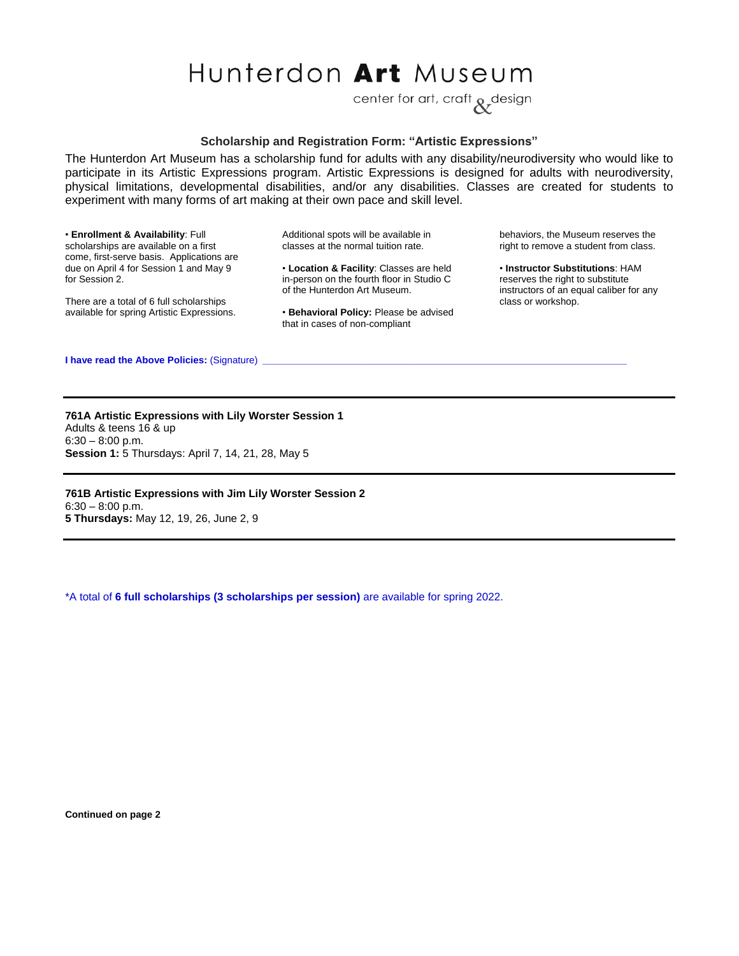## Hunterdon Art Museum

center for art, craft a design

## **Scholarship and Registration Form: "Artistic Expressions"**

The Hunterdon Art Museum has a scholarship fund for adults with any disability/neurodiversity who would like to participate in its Artistic Expressions program. Artistic Expressions is designed for adults with neurodiversity, physical limitations, developmental disabilities, and/or any disabilities. Classes are created for students to experiment with many forms of art making at their own pace and skill level.

• **Enrollment & Availability**: Full scholarships are available on a first come, first-serve basis. Applications are due on April 4 for Session 1 and May 9 for Session 2.

There are a total of 6 full scholarships available for spring Artistic Expressions. Additional spots will be available in classes at the normal tuition rate.

• **Location & Facility**: Classes are held in-person on the fourth floor in Studio C of the Hunterdon Art Museum.

• **Behavioral Policy:** Please be advised that in cases of non-compliant

behaviors, the Museum reserves the right to remove a student from class.

• **Instructor Substitutions**: HAM reserves the right to substitute instructors of an equal caliber for any class or workshop.

**I have read the Above Policies: (Signature)** 

**761A Artistic Expressions with Lily Worster Session 1** Adults & teens 16 & up  $6:30 - 8:00$  p.m. **Session 1:** 5 Thursdays: April 7, 14, 21, 28, May 5

**761B Artistic Expressions with Jim Lily Worster Session 2**  $6:30 - 8:00$  p.m. **5 Thursdays:** May 12, 19, 26, June 2, 9

\*A total of **6 full scholarships (3 scholarships per session)** are available for spring 2022.

**Continued on page 2**